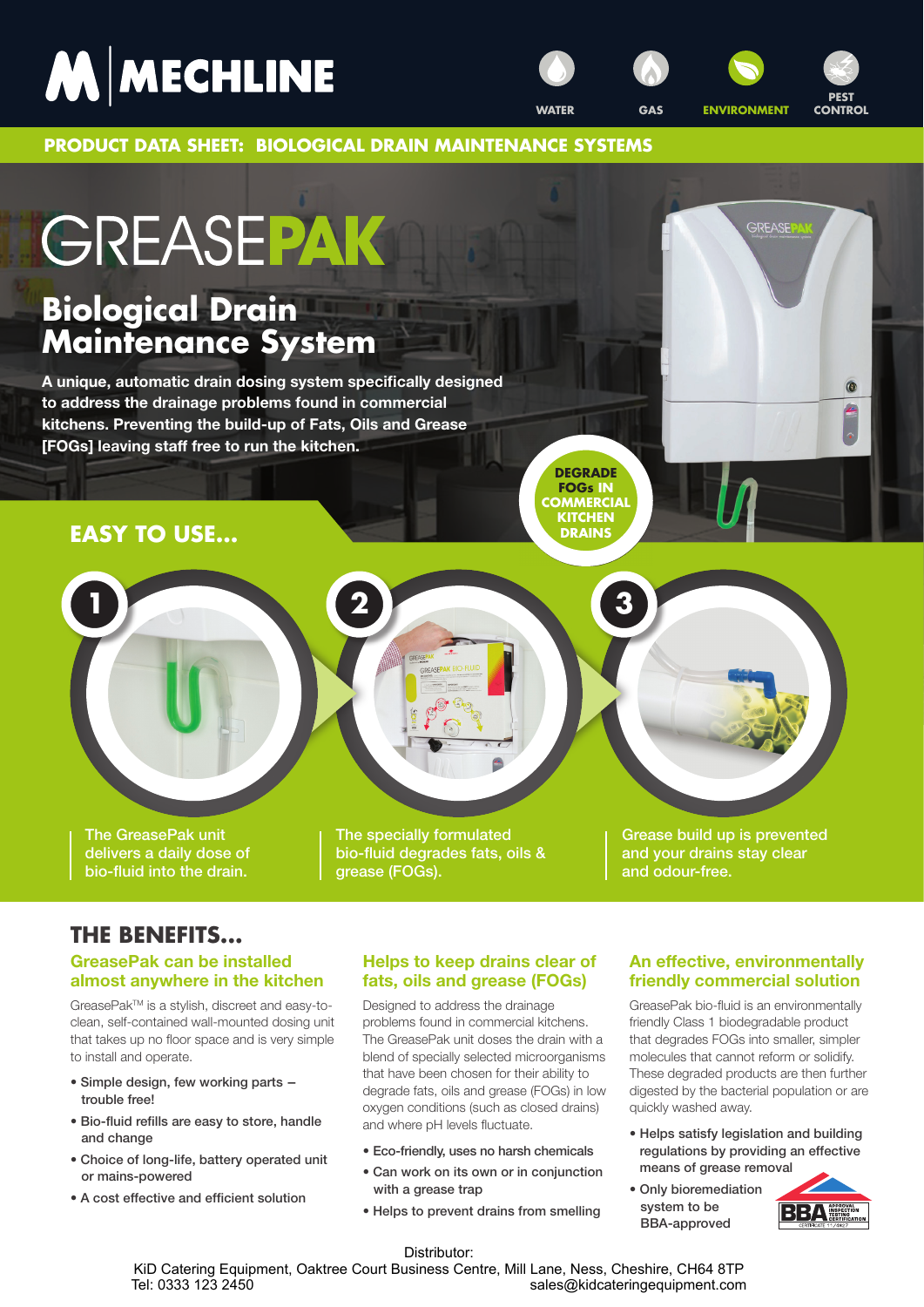**PRODUCT DATA SHEET: BIOLOGICAL DRAIN MAINTENANCE SYSTEMS**

**1 2 3**

# GREASEPAK

# **Biological Drain Maintenance System**

**A unique, automatic drain dosing system specifically designed to address the drainage problems found in commercial kitchens. Preventing the build-up of Fats, Oils and Grease [FOGs] leaving staff free to run the kitchen.**

# **EASY TO USE...**

**DEGRADE FOGs IN COMMERCIAL KITCHEN DRAINS**

The GreasePak unit delivers a daily dose of bio-fluid into the drain.

The specially formulated bio-fluid degrades fats, oils & grease (FOGs).

Grease build up is prevented and your drains stay clear and odour-free.

**GREASE** 

 $\circ$ 

# **THE BENEFITS...**

## **GreasePak can be installed almost anywhere in the kitchen**

GreasePakTM is a stylish, discreet and easy-toclean, self-contained wall-mounted dosing unit that takes up no floor space and is very simple to install and operate.

- Simple design, few working parts trouble free!
- Bio-fluid refills are easy to store, handle and change
- Choice of long-life, battery operated unit or mains-powered
- A cost effective and efficient solution

## **Helps to keep drains clear of fats, oils and grease (FOGs)**

Designed to address the drainage problems found in commercial kitchens. The GreasePak unit doses the drain with a blend of specially selected microorganisms that have been chosen for their ability to degrade fats, oils and grease (FOGs) in low oxygen conditions (such as closed drains) and where pH levels fluctuate.

- Eco-friendly, uses no harsh chemicals
- Can work on its own or in conjunction with a grease trap
- Helps to prevent drains from smelling

## **An effective, environmentally friendly commercial solution**

GreasePak bio-fluid is an environmentally friendly Class 1 biodegradable product that degrades FOGs into smaller, simpler molecules that cannot reform or solidify. These degraded products are then further digested by the bacterial population or are quickly washed away.

- Helps satisfy legislation and building regulations by providing an effective means of grease removal
- Only bioremediation system to be BBA-approved



## Distributor:

KiD Catering Equipment, Oaktree Court Business Centre, Mill Lane, Ness, Cheshire, CH64 8TP<br>sales@kidcateringequipment.com sales@kidcateringequipment.com